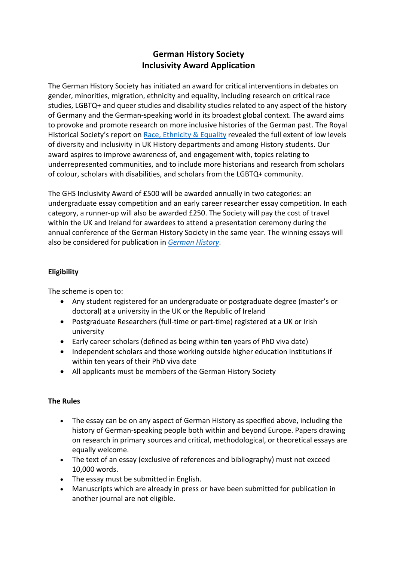## **German History Society Inclusivity Award Application**

The German History Society has initiated an award for critical interventions in debates on gender, minorities, migration, ethnicity and equality, including research on critical race studies, LGBTQ+ and queer studies and disability studies related to any aspect of the history of Germany and the German-speaking world in its broadest global context. The award aims to provoke and promote research on more inclusive histories of the German past. The Royal Historical Society's report on Race, Ethnicity & Equality revealed the full extent of low levels of diversity and inclusivity in UK History departments and among History students. Our award aspires to improve awareness of, and engagement with, topics relating to underrepresented communities, and to include more historians and research from scholars of colour, scholars with disabilities, and scholars from the LGBTQ+ community.

The GHS Inclusivity Award of £500 will be awarded annually in two categories: an undergraduate essay competition and an early career researcher essay competition. In each category, a runner-up will also be awarded £250. The Society will pay the cost of travel within the UK and Ireland for awardees to attend a presentation ceremony during the annual conference of the German History Society in the same year. The winning essays will also be considered for publication in *German History*.

## **Eligibility**

The scheme is open to:

- Any student registered for an undergraduate or postgraduate degree (master's or doctoral) at a university in the UK or the Republic of Ireland
- Postgraduate Researchers (full-time or part-time) registered at a UK or Irish university
- Early career scholars (defined as being within **ten** years of PhD viva date)
- Independent scholars and those working outside higher education institutions if within ten years of their PhD viva date
- All applicants must be members of the German History Society

## **The Rules**

- The essay can be on any aspect of German History as specified above, including the history of German-speaking people both within and beyond Europe. Papers drawing on research in primary sources and critical, methodological, or theoretical essays are equally welcome.
- The text of an essay (exclusive of references and bibliography) must not exceed 10,000 words.
- The essay must be submitted in English.
- Manuscripts which are already in press or have been submitted for publication in another journal are not eligible.